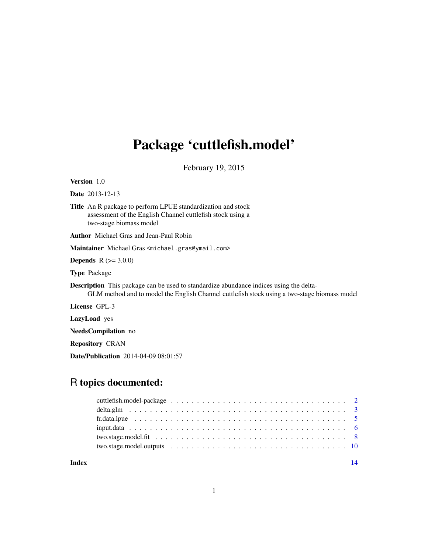## Package 'cuttlefish.model'

February 19, 2015

<span id="page-0-0"></span>Version 1.0

Date 2013-12-13

Title An R package to perform LPUE standardization and stock assessment of the English Channel cuttlefish stock using a two-stage biomass model

Author Michael Gras and Jean-Paul Robin

Maintainer Michael Gras <michael.gras@ymail.com>

**Depends**  $R (=3.0.0)$ 

Type Package

Description This package can be used to standardize abundance indices using the delta-GLM method and to model the English Channel cuttlefish stock using a two-stage biomass model

License GPL-3

LazyLoad yes

NeedsCompilation no

Repository CRAN

Date/Publication 2014-04-09 08:01:57

## R topics documented:

**Index** 2008 **[14](#page-13-0)**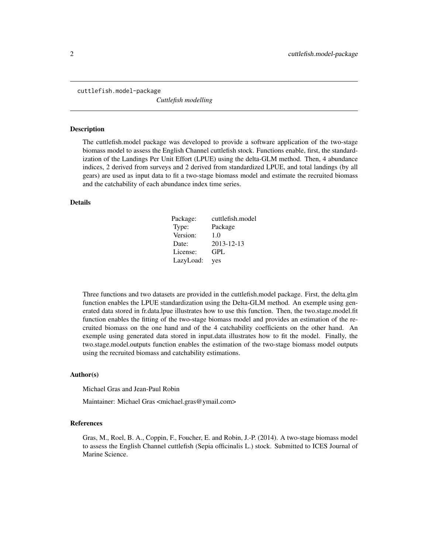<span id="page-1-0"></span>cuttlefish.model-package

*Cuttlefish modelling*

#### **Description**

The cuttlefish.model package was developed to provide a software application of the two-stage biomass model to assess the English Channel cuttlefish stock. Functions enable, first, the standardization of the Landings Per Unit Effort (LPUE) using the delta-GLM method. Then, 4 abundance indices, 2 derived from surveys and 2 derived from standardized LPUE, and total landings (by all gears) are used as input data to fit a two-stage biomass model and estimate the recruited biomass and the catchability of each abundance index time series.

#### Details

| Package:  | cuttlefish.model |
|-----------|------------------|
| Type:     | Package          |
| Version:  | 1.0              |
| Date:     | 2013-12-13       |
| License:  | GPL              |
| LazyLoad: | yes              |

Three functions and two datasets are provided in the cuttlefish.model package. First, the delta.glm function enables the LPUE standardization using the Delta-GLM method. An exemple using generated data stored in fr.data.lpue illustrates how to use this function. Then, the two.stage.model.fit function enables the fitting of the two-stage biomass model and provides an estimation of the recruited biomass on the one hand and of the 4 catchability coefficients on the other hand. An exemple using generated data stored in input.data illustrates how to fit the model. Finally, the two.stage.model.outputs function enables the estimation of the two-stage biomass model outputs using the recruited biomass and catchability estimations.

## Author(s)

Michael Gras and Jean-Paul Robin

Maintainer: Michael Gras <michael.gras@ymail.com>

#### References

Gras, M., Roel, B. A., Coppin, F., Foucher, E. and Robin, J.-P. (2014). A two-stage biomass model to assess the English Channel cuttlefish (Sepia officinalis L.) stock. Submitted to ICES Journal of Marine Science.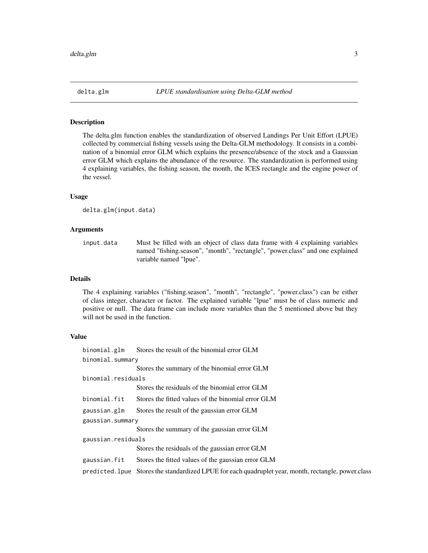<span id="page-2-1"></span><span id="page-2-0"></span>

#### Description

The delta.glm function enables the standardization of observed Landings Per Unit Effort (LPUE) collected by commercial fishing vessels using the Delta-GLM methodology. It consists in a combination of a binomial error GLM which explains the presence/absence of the stock and a Gaussian error GLM which explains the abundance of the resource. The standardization is performed using 4 explaining variables, the fishing season, the month, the ICES rectangle and the engine power of the vessel.

### Usage

delta.glm(input.data)

### Arguments

input.data Must be filled with an object of class data frame with 4 explaining variables named "fishing.season", "month", "rectangle", "power.class" and one explained variable named "lpue".

## Details

The 4 explaining variables ("fishing.season", "month", "rectangle", "power.class") can be either of class integer, character or factor. The explained variable "lpue" must be of class numeric and positive or null. The data frame can include more variables than the 5 mentioned above but they will not be used in the function.

#### Value

| binomial.glm       | Stores the result of the binomial error GLM                                                           |  |
|--------------------|-------------------------------------------------------------------------------------------------------|--|
| binomial.summary   |                                                                                                       |  |
|                    | Stores the summary of the binomial error GLM                                                          |  |
| binomial.residuals |                                                                                                       |  |
|                    | Stores the residuals of the binomial error GLM                                                        |  |
| binomial.fit       | Stores the fitted values of the binomial error GLM                                                    |  |
| gaussian.glm       | Stores the result of the gaussian error GLM                                                           |  |
| gaussian.summary   |                                                                                                       |  |
|                    | Stores the summary of the gaussian error GLM                                                          |  |
| gaussian.residuals |                                                                                                       |  |
|                    | Stores the residuals of the gaussian error GLM                                                        |  |
| gaussian.fit       | Stores the fitted values of the gaussian error GLM                                                    |  |
|                    | predicted. 1 pue Stores the standardized LPUE for each quadruplet year, month, rectangle, power.class |  |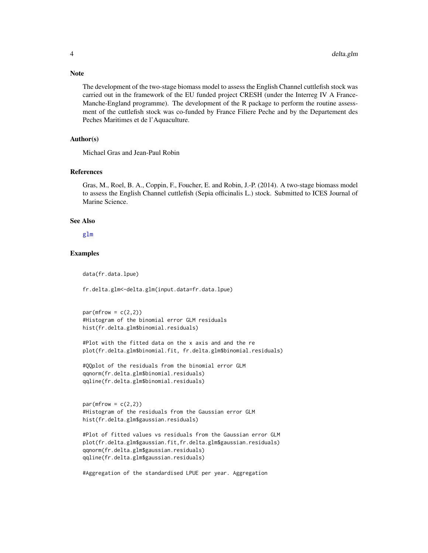The development of the two-stage biomass model to assess the English Channel cuttlefish stock was carried out in the framework of the EU funded project CRESH (under the Interreg IV A France-Manche-England programme). The development of the R package to perform the routine assessment of the cuttlefish stock was co-funded by France Filiere Peche and by the Departement des Peches Maritimes et de l'Aquaculture.

## Author(s)

Michael Gras and Jean-Paul Robin

#### References

Gras, M., Roel, B. A., Coppin, F., Foucher, E. and Robin, J.-P. (2014). A two-stage biomass model to assess the English Channel cuttlefish (Sepia officinalis L.) stock. Submitted to ICES Journal of Marine Science.

#### See Also

[glm](#page-0-0)

## Examples

data(fr.data.lpue)

fr.delta.glm<-delta.glm(input.data=fr.data.lpue)

```
par(mfrow = c(2,2))#Histogram of the binomial error GLM residuals
hist(fr.delta.glm$binomial.residuals)
```

```
#Plot with the fitted data on the x axis and and the re
plot(fr.delta.glm$binomial.fit, fr.delta.glm$binomial.residuals)
```

```
#QQplot of the residuals from the binomial error GLM
qqnorm(fr.delta.glm$binomial.residuals)
qqline(fr.delta.glm$binomial.residuals)
```

```
par(mfrow = c(2,2))#Histogram of the residuals from the Gaussian error GLM
hist(fr.delta.glm$gaussian.residuals)
```

```
#Plot of fitted values vs residuals from the Gaussian error GLM
plot(fr.delta.glm$gaussian.fit,fr.delta.glm$gaussian.residuals)
qqnorm(fr.delta.glm$gaussian.residuals)
qqline(fr.delta.glm$gaussian.residuals)
```

```
#Aggregation of the standardised LPUE per year. Aggregation
```
## <span id="page-3-0"></span>Note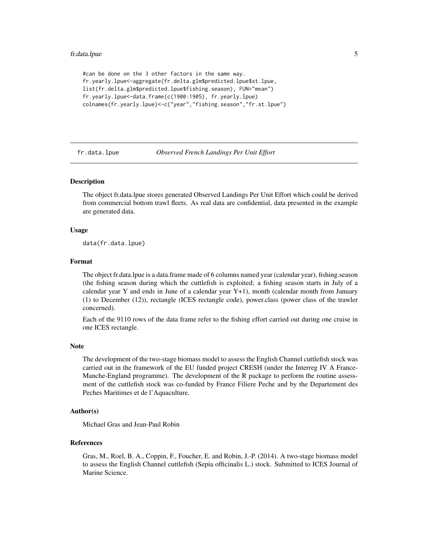```
#can be done on the 3 other factors in the same way.
fr.yearly.lpue<-aggregate(fr.delta.glm$predicted.lpue$st.lpue,
list(fr.delta.glm$predicted.lpue$fishing.season), FUN="mean")
fr.yearly.lpue<-data.frame(c(1900:1905), fr.yearly.lpue)
colnames(fr.yearly.lpue)<-c("year","fishing.season","fr.st.lpue")
```
fr.data.lpue *Observed French Landings Per Unit Effort*

#### **Description**

The object fr.data.lpue stores generated Observed Landings Per Unit Effort which could be derived from commercial bottom trawl fleets. As real data are confidential, data presented in the example are generated data.

## Usage

data(fr.data.lpue)

#### Format

The object fr.data.lpue is a data.frame made of 6 columns named year (calendar year), fishing.season (the fishing season during which the cuttlefish is exploited; a fishing season starts in July of a calendar year Y and ends in June of a calendar year Y+1), month (calendar month from January (1) to December (12)), rectangle (ICES rectangle code), power.class (power class of the trawler concerned).

Each of the 9110 rows of the data frame refer to the fishing effort carried out during one cruise in one ICES rectangle.

#### Note

The development of the two-stage biomass model to assess the English Channel cuttlefish stock was carried out in the framework of the EU funded project CRESH (under the Interreg IV A France-Manche-England programme). The development of the R package to perform the routine assessment of the cuttlefish stock was co-funded by France Filiere Peche and by the Departement des Peches Maritimes et de l'Aquaculture.

## Author(s)

Michael Gras and Jean-Paul Robin

## References

Gras, M., Roel, B. A., Coppin, F., Foucher, E. and Robin, J.-P. (2014). A two-stage biomass model to assess the English Channel cuttlefish (Sepia officinalis L.) stock. Submitted to ICES Journal of Marine Science.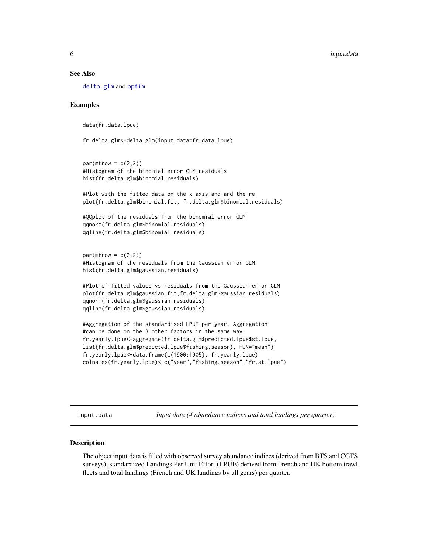#### <span id="page-5-0"></span>See Also

[delta.glm](#page-2-1) and [optim](#page-0-0)

### Examples

```
data(fr.data.lpue)
fr.delta.glm<-delta.glm(input.data=fr.data.lpue)
par(mfrow = c(2,2))#Histogram of the binomial error GLM residuals
hist(fr.delta.glm$binomial.residuals)
#Plot with the fitted data on the x axis and and the re
plot(fr.delta.glm$binomial.fit, fr.delta.glm$binomial.residuals)
#QQplot of the residuals from the binomial error GLM
qqnorm(fr.delta.glm$binomial.residuals)
qqline(fr.delta.glm$binomial.residuals)
par(mfrow = c(2,2))#Histogram of the residuals from the Gaussian error GLM
hist(fr.delta.glm$gaussian.residuals)
#Plot of fitted values vs residuals from the Gaussian error GLM
plot(fr.delta.glm$gaussian.fit,fr.delta.glm$gaussian.residuals)
qqnorm(fr.delta.glm$gaussian.residuals)
qqline(fr.delta.glm$gaussian.residuals)
#Aggregation of the standardised LPUE per year. Aggregation
#can be done on the 3 other factors in the same way.
fr.yearly.lpue<-aggregate(fr.delta.glm$predicted.lpue$st.lpue,
list(fr.delta.glm$predicted.lpue$fishing.season), FUN="mean")
fr.yearly.lpue<-data.frame(c(1900:1905), fr.yearly.lpue)
colnames(fr.yearly.lpue)<-c("year","fishing.season","fr.st.lpue")
```
input.data *Input data (4 abundance indices and total landings per quarter).*

#### Description

The object input.data is filled with observed survey abundance indices (derived from BTS and CGFS surveys), standardized Landings Per Unit Effort (LPUE) derived from French and UK bottom trawl fleets and total landings (French and UK landings by all gears) per quarter.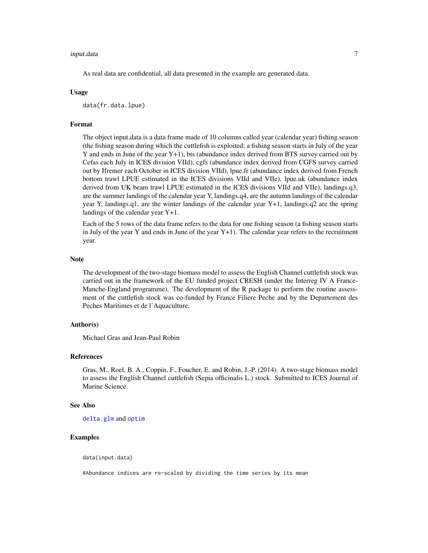#### <span id="page-6-0"></span>input.data 7

As real data are confidential, all data presented in the example are generated data.

#### Usage

data(fr.data.lpue)

## Format

The object input.data is a data frame made of 10 columns called year (calendar year) fishing.season (the fishing season during which the cuttlefish is exploited; a fishing season starts in July of the year Y and ends in June of the year Y+1), bts (abundance index derived from BTS survey carried out by Cefas each July in ICES division VIId), cgfs (abundance index derived from CGFS survey carried out by Ifremer each October in ICES division VIId), lpue.fr (abundance index derived from French bottom trawl LPUE estimated in the ICES divisions VIId and VIIe), lpue.uk (abundance index derived from UK beam trawl LPUE estimated in the ICES divisions VIId and VIIe), landings.q3, are the summer landings of the calendar year Y, landings.q4, are the autumn landings of the calendar year Y, landings.q1, are the winter landings of the calendar year Y+1, landings.q2 are the spring landings of the calendar year Y+1.

Each of the 5 rows of the data frame refers to the data for one fishing season (a fishing season starts in July of the year Y and ends in June of the year  $Y+1$ ). The calendar year refers to the recruitment year.

#### Note

The development of the two-stage biomass model to assess the English Channel cuttlefish stock was carried out in the framework of the EU funded project CRESH (under the Interreg IV A France-Manche-England programme). The development of the R package to perform the routine assessment of the cuttlefish stock was co-funded by France Filiere Peche and by the Departement des Peches Maritimes et de l'Aquaculture.

## Author(s)

Michael Gras and Jean-Paul Robin

## References

Gras, M., Roel, B. A., Coppin, F., Foucher, E. and Robin, J.-P. (2014). A two-stage biomass model to assess the English Channel cuttlefish (Sepia officinalis L.) stock. Submitted to ICES Journal of Marine Science.

#### See Also

[delta.glm](#page-2-1) and [optim](#page-0-0)

### Examples

data(input.data)

#Abundance indices are re-scaled by dividing the time series by its mean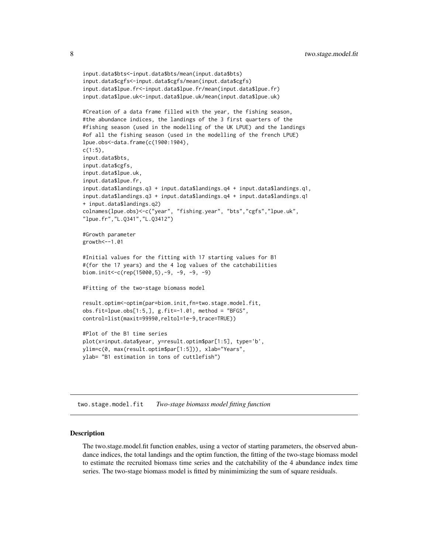```
input.data$bts<-input.data$bts/mean(input.data$bts)
input.data$cgfs<-input.data$cgfs/mean(input.data$cgfs)
input.data$lpue.fr<-input.data$lpue.fr/mean(input.data$lpue.fr)
input.data$lpue.uk<-input.data$lpue.uk/mean(input.data$lpue.uk)
#Creation of a data frame filled with the year, the fishing season,
#the abundance indices, the landings of the 3 first quarters of the
#fishing season (used in the modelling of the UK LPUE) and the landings
#of all the fishing season (used in the modelling of the french LPUE)
lpue.obs<-data.frame(c(1900:1904),
c(1:5),
input.data$bts,
input.data$cgfs,
input.data$lpue.uk,
input.data$lpue.fr,
input.data$landings.q3 + input.data$landings.q4 + input.data$landings.q1,
input.data$landings.q3 + input.data$landings.q4 + input.data$landings.q1
+ input.data$landings.q2)
colnames(lpue.obs)<-c("year", "fishing.year", "bts","cgfs","lpue.uk",
"lpue.fr","L.Q341","L.Q3412")
#Growth parameter
growth<--1.01
#Initial values for the fitting with 17 starting values for B1
#(for the 17 years) and the 4 log values of the catchabilities
biom.init<-c(rep(15000,5),-9, -9, -9, -9)
#Fitting of the two-stage biomass model
result.optim<-optim(par=biom.init,fn=two.stage.model.fit,
obs.fit=lpue.obs[1:5,], g.fit=-1.01, method = "BFGS",
control=list(maxit=99990,reltol=1e-9,trace=TRUE))
#Plot of the B1 time series
plot(x=input.data$year, y=result.optim$par[1:5], type='b',
ylim=c(0, max(result.optim$par[1:5])), xlab="Years",
ylab= "B1 estimation in tons of cuttlefish")
```
<span id="page-7-1"></span>two.stage.model.fit *Two-stage biomass model fitting function*

#### **Description**

The two.stage.model.fit function enables, using a vector of starting parameters, the observed abundance indices, the total landings and the optim function, the fitting of the two-stage biomass model to estimate the recruited biomass time series and the catchability of the 4 abundance index time series. The two-stage biomass model is fitted by minimimizing the sum of square residuals.

<span id="page-7-0"></span>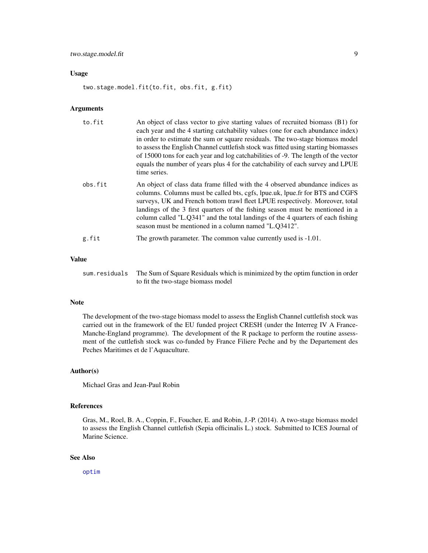#### <span id="page-8-0"></span>Usage

two.stage.model.fit(to.fit, obs.fit, g.fit)

#### Arguments

| to.fit  | An object of class vector to give starting values of recruited biomass (B1) for<br>each year and the 4 starting catchability values (one for each abundance index)<br>in order to estimate the sum or square residuals. The two-stage biomass model<br>to assess the English Channel cuttlefish stock was fitted using starting biomasses<br>of 15000 tons for each year and log catchabilities of -9. The length of the vector<br>equals the number of years plus 4 for the catchability of each survey and LPUE<br>time series. |
|---------|-----------------------------------------------------------------------------------------------------------------------------------------------------------------------------------------------------------------------------------------------------------------------------------------------------------------------------------------------------------------------------------------------------------------------------------------------------------------------------------------------------------------------------------|
| obs.fit | An object of class data frame filled with the 4 observed abundance indices as<br>columns. Columns must be called bts, cgfs, lpue.uk, lpue.fr for BTS and CGFS<br>surveys, UK and French bottom trawl fleet LPUE respectively. Moreover, total<br>landings of the 3 first quarters of the fishing season must be mentioned in a<br>column called "L.Q341" and the total landings of the 4 quarters of each fishing<br>season must be mentioned in a column named "L.Q3412".                                                        |
| g.fit   | The growth parameter. The common value currently used is -1.01.                                                                                                                                                                                                                                                                                                                                                                                                                                                                   |

## Value

sum.residuals The Sum of Square Residuals which is minimized by the optim function in order to fit the two-stage biomass model

#### Note

The development of the two-stage biomass model to assess the English Channel cuttlefish stock was carried out in the framework of the EU funded project CRESH (under the Interreg IV A France-Manche-England programme). The development of the R package to perform the routine assessment of the cuttlefish stock was co-funded by France Filiere Peche and by the Departement des Peches Maritimes et de l'Aquaculture.

## Author(s)

Michael Gras and Jean-Paul Robin

#### References

Gras, M., Roel, B. A., Coppin, F., Foucher, E. and Robin, J.-P. (2014). A two-stage biomass model to assess the English Channel cuttlefish (Sepia officinalis L.) stock. Submitted to ICES Journal of Marine Science.

## See Also

[optim](#page-0-0)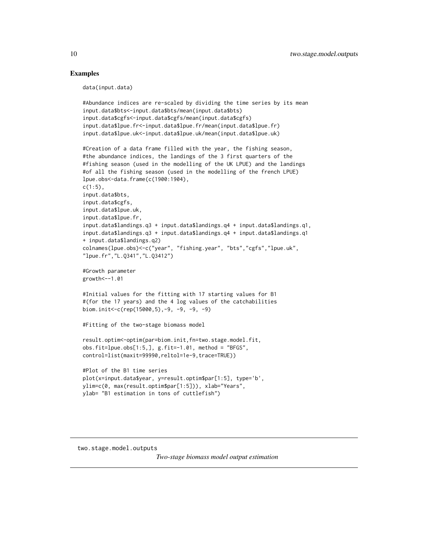#### Examples

data(input.data)

```
#Abundance indices are re-scaled by dividing the time series by its mean
input.data$bts<-input.data$bts/mean(input.data$bts)
input.data$cgfs<-input.data$cgfs/mean(input.data$cgfs)
input.data$lpue.fr<-input.data$lpue.fr/mean(input.data$lpue.fr)
input.data$lpue.uk<-input.data$lpue.uk/mean(input.data$lpue.uk)
#Creation of a data frame filled with the year, the fishing season,
#the abundance indices, the landings of the 3 first quarters of the
#fishing season (used in the modelling of the UK LPUE) and the landings
#of all the fishing season (used in the modelling of the french LPUE)
lpue.obs<-data.frame(c(1900:1904),
c(1:5),
input.data$bts,
input.data$cgfs,
input.data$lpue.uk,
input.data$lpue.fr,
input.data$landings.q3 + input.data$landings.q4 + input.data$landings.q1,
input.data$landings.q3 + input.data$landings.q4 + input.data$landings.q1
+ input.data$landings.q2)
colnames(lpue.obs)<-c("year", "fishing.year", "bts","cgfs","lpue.uk",
"lpue.fr","L.Q341","L.Q3412")
#Growth parameter
growth<--1.01
#Initial values for the fitting with 17 starting values for B1
#(for the 17 years) and the 4 log values of the catchabilities
biom.init<-c(rep(15000,5),-9, -9, -9, -9)
#Fitting of the two-stage biomass model
result.optim<-optim(par=biom.init,fn=two.stage.model.fit,
obs.fit=lpue.obs[1:5,], g.fit=-1.01, method = "BFGS",
control=list(maxit=99990,reltol=1e-9,trace=TRUE))
#Plot of the B1 time series
plot(x=input.data$year, y=result.optim$par[1:5], type='b',
ylim=c(0, max(result.optim$par[1:5])), xlab="Years",
ylab= "B1 estimation in tons of cuttlefish")
```

```
two.stage.model.outputs
```
*Two-stage biomass model output estimation*

<span id="page-9-0"></span>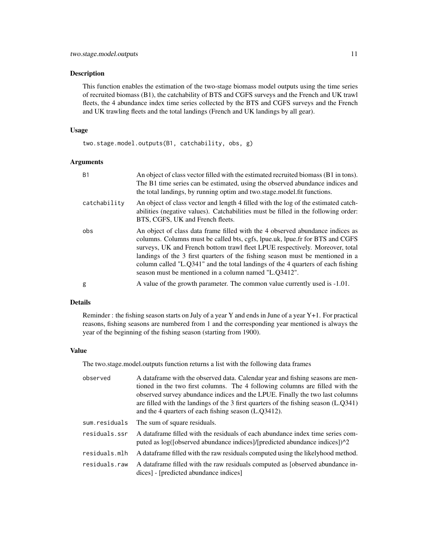#### Description

This function enables the estimation of the two-stage biomass model outputs using the time series of recruited biomass (B1), the catchability of BTS and CGFS surveys and the French and UK trawl fleets, the 4 abundance index time series collected by the BTS and CGFS surveys and the French and UK trawling fleets and the total landings (French and UK landings by all gear).

## Usage

two.stage.model.outputs(B1, catchability, obs, g)

#### Arguments

| <b>B1</b>    | An object of class vector filled with the estimated recruited biomass (B1 in tons).<br>The B1 time series can be estimated, using the observed abundance indices and<br>the total landings, by running optim and two stage model fit functions.                                                                                                                                                                                                                            |
|--------------|----------------------------------------------------------------------------------------------------------------------------------------------------------------------------------------------------------------------------------------------------------------------------------------------------------------------------------------------------------------------------------------------------------------------------------------------------------------------------|
| catchability | An object of class vector and length 4 filled with the log of the estimated catch-<br>abilities (negative values). Catchabilities must be filled in the following order:<br>BTS, CGFS, UK and French fleets.                                                                                                                                                                                                                                                               |
| obs          | An object of class data frame filled with the 4 observed abundance indices as<br>columns. Columns must be called bts, cgfs, lpue.uk, lpue.fr for BTS and CGFS<br>surveys, UK and French bottom trawl fleet LPUE respectively. Moreover, total<br>landings of the 3 first quarters of the fishing season must be mentioned in a<br>column called "L.O341" and the total landings of the 4 quarters of each fishing<br>season must be mentioned in a column named "L.Q3412". |
| g            | A value of the growth parameter. The common value currently used is -1.01.                                                                                                                                                                                                                                                                                                                                                                                                 |

#### Details

Reminder : the fishing season starts on July of a year Y and ends in June of a year Y+1. For practical reasons, fishing seasons are numbered from 1 and the corresponding year mentioned is always the year of the beginning of the fishing season (starting from 1900).

### Value

The two.stage.model.outputs function returns a list with the following data frames

| observed      | A dataframe with the observed data. Calendar year and fishing seasons are men-<br>tioned in the two first columns. The 4 following columns are filled with the<br>observed survey abundance indices and the LPUE. Finally the two last columns<br>are filled with the landings of the $3$ first quarters of the fishing season $(L.Q341)$<br>and the 4 quarters of each fishing season (L.Q3412). |
|---------------|---------------------------------------------------------------------------------------------------------------------------------------------------------------------------------------------------------------------------------------------------------------------------------------------------------------------------------------------------------------------------------------------------|
| sum.residuals | The sum of square residuals.                                                                                                                                                                                                                                                                                                                                                                      |
| residuals.ssr | A dataframe filled with the residuals of each abundance index time series com-<br>puted as log([observed abundance indices]/[predicted abundance indices])^2                                                                                                                                                                                                                                      |
| residuals.mlh | A data frame filled with the raw residuals computed using the likelyhood method.                                                                                                                                                                                                                                                                                                                  |
| residuals.raw | A data frame filled with the raw residuals computed as [observed abundance in-<br>dices] - [predicted abundance indices]                                                                                                                                                                                                                                                                          |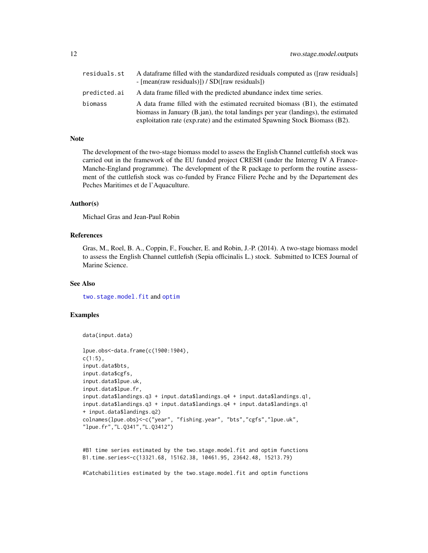<span id="page-11-0"></span>

| residuals.st | A dataframe filled with the standardized residuals computed as ([raw residuals]<br>- $[mean(raw residuals)]$ / SD( $[raw residuals]$ )                                |
|--------------|-----------------------------------------------------------------------------------------------------------------------------------------------------------------------|
| predicted.ai | A data frame filled with the predicted abundance index time series.                                                                                                   |
| biomass      | A data frame filled with the estimated recruited biomass (B1), the estimated<br>biomass in January $(B$ , jan), the total landings per year (landings), the estimated |
|              | exploitation rate (exp.rate) and the estimated Spawning Stock Biomass (B2).                                                                                           |

### Note

The development of the two-stage biomass model to assess the English Channel cuttlefish stock was carried out in the framework of the EU funded project CRESH (under the Interreg IV A France-Manche-England programme). The development of the R package to perform the routine assessment of the cuttlefish stock was co-funded by France Filiere Peche and by the Departement des Peches Maritimes et de l'Aquaculture.

### Author(s)

Michael Gras and Jean-Paul Robin

#### References

Gras, M., Roel, B. A., Coppin, F., Foucher, E. and Robin, J.-P. (2014). A two-stage biomass model to assess the English Channel cuttlefish (Sepia officinalis L.) stock. Submitted to ICES Journal of Marine Science.

## See Also

[two.stage.model.fit](#page-7-1) and [optim](#page-0-0)

## Examples

```
data(input.data)
```

```
lpue.obs<-data.frame(c(1900:1904),
c(1:5),
input.data$bts,
input.data$cgfs,
input.data$lpue.uk,
input.data$lpue.fr,
input.data$landings.q3 + input.data$landings.q4 + input.data$landings.q1,
input.data$landings.q3 + input.data$landings.q4 + input.data$landings.q1
+ input.data$landings.q2)
colnames(lpue.obs)<-c("year", "fishing.year", "bts","cgfs","lpue.uk",
"lpue.fr","L.Q341","L.Q3412")
```

```
#B1 time series estimated by the two.stage.model.fit and optim functions
B1.time.series<-c(13321.68, 15162.38, 10461.95, 23642.48, 15213.79)
```
#Catchabilities estimated by the two.stage.model.fit and optim functions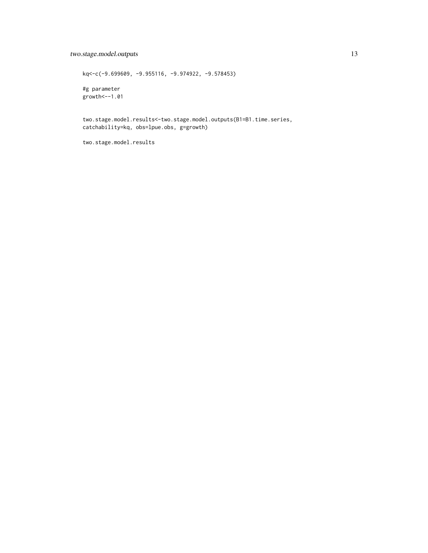## two.stage.model.outputs 13

kq<-c(-9.699609, -9.955116, -9.974922, -9.578453) #g parameter growth<--1.01 two.stage.model.results<-two.stage.model.outputs(B1=B1.time.series,

catchability=kq, obs=lpue.obs, g=growth)

two.stage.model.results